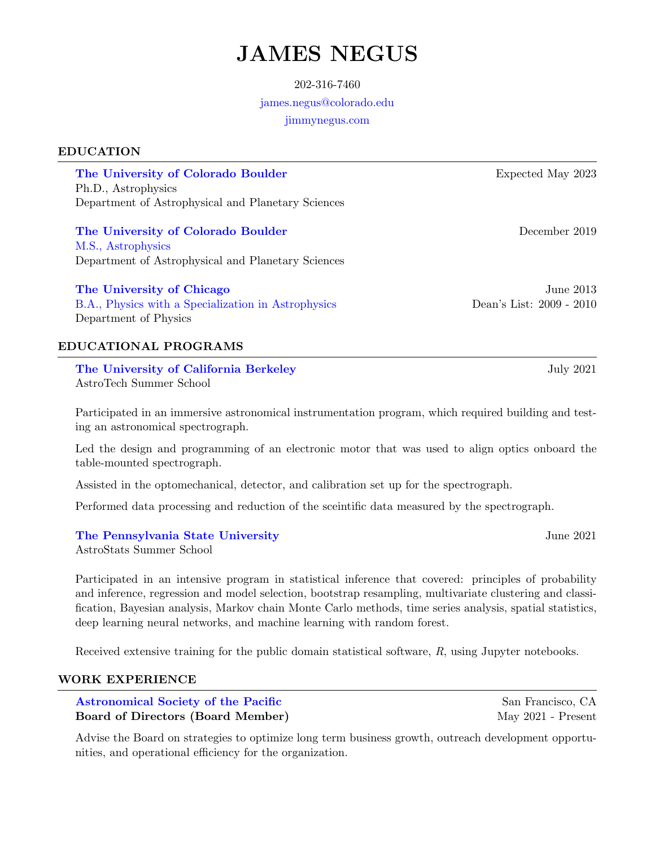# JAMES NEGUS

### 202-316-7460

# [james.negus@colorado.edu](mailto:james.negus@colorado.edu)

[jimmynegus.com](http://jimmynegus.com)

# EDUCATION

[The University of Colorado Boulder](https://www.colorado.edu/about) The Expected May 2023 Ph.D., Astrophysics Department of Astrophysical and Planetary Sciences

[The University of Colorado Boulder](https://www.colorado.edu/about) and the University of Colorado Boulder and the December 2019 [M.S., Astrophysics](https://drive.google.com/file/d/1xpjDE79aXFdEuBv1Yv3ccmQNEVr3lk0p/view?usp=sharing) Department of Astrophysical and Planetary Sciences

[The University of Chicago](https://www.uchicago.edu/about/) June 2013

[B.A., Physics with a Specialization in Astrophysics](https://drive.google.com/file/d/0B0hSpJXP4XypWXlUQjlpTm5XSXM/view?usp=sharing) Dean's List: 2009 - 2010 Department of Physics

# EDUCATIONAL PROGRAMS

[The University of California Berkeley](https://www.berkeley.edu/) The University of California Berkeley AstroTech Summer School

Participated in an immersive astronomical instrumentation program, which required building and testing an astronomical spectrograph.

Led the design and programming of an electronic motor that was used to align optics onboard the table-mounted spectrograph.

Assisted in the optomechanical, detector, and calibration set up for the spectrograph.

Performed data processing and reduction of the sceintific data measured by the spectrograph.

# [The Pennsylvania State University](https://www.psu.edu/) **The Pennsylvania State University June 2021**

AstroStats Summer School

Participated in an intensive program in statistical inference that covered: principles of probability and inference, regression and model selection, bootstrap resampling, multivariate clustering and classification, Bayesian analysis, Markov chain Monte Carlo methods, time series analysis, spatial statistics, deep learning neural networks, and machine learning with random forest.

Received extensive training for the public domain statistical software, R, using Jupyter notebooks.

# WORK EXPERIENCE

[Astronomical Society of the Pacific](https://astrosociety.org/who-we-are/) San Francisco, CA Board of Directors (Board Member) May 2021 - Present

Advise the Board on strategies to optimize long term business growth, outreach development opportunities, and operational efficiency for the organization.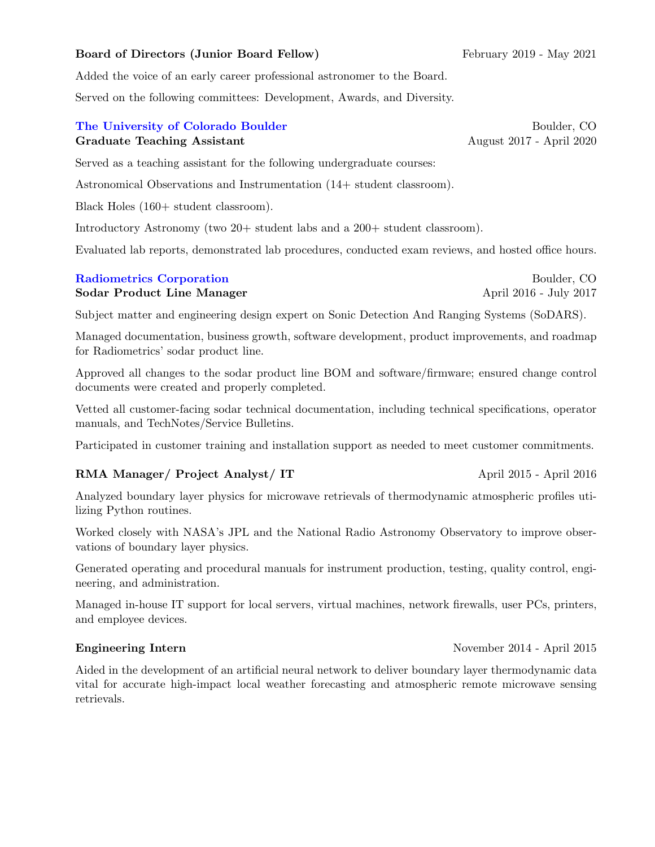# Board of Directors (Junior Board Fellow) February 2019 - May 2021

Added the voice of an early career professional astronomer to the Board.

Served on the following committees: Development, Awards, and Diversity.

# [The University of Colorado Boulder](https://www.colorado.edu/about) and the University of Colorado Boulder and the Boulder, CO Graduate Teaching Assistant August 2017 - April 2020

Served as a teaching assistant for the following undergraduate courses:

Astronomical Observations and Instrumentation (14+ student classroom).

Black Holes (160+ student classroom).

Introductory Astronomy (two 20+ student labs and a 200+ student classroom).

Evaluated lab reports, demonstrated lab procedures, conducted exam reviews, and hosted office hours.

# [Radiometrics Corporation](http://radiometrics.com/) and the set of the set of the Boulder, CO

Sodar Product Line Manager April 2016 - July 2017

Subject matter and engineering design expert on Sonic Detection And Ranging Systems (SoDARS).

Managed documentation, business growth, software development, product improvements, and roadmap for Radiometrics' sodar product line.

Approved all changes to the sodar product line BOM and software/firmware; ensured change control documents were created and properly completed.

Vetted all customer-facing sodar technical documentation, including technical specifications, operator manuals, and TechNotes/Service Bulletins.

Participated in customer training and installation support as needed to meet customer commitments.

# RMA Manager/ Project Analyst/ IT April 2015 - April 2016

Analyzed boundary layer physics for microwave retrievals of thermodynamic atmospheric profiles utilizing Python routines.

Worked closely with NASA's JPL and the National Radio Astronomy Observatory to improve observations of boundary layer physics.

Generated operating and procedural manuals for instrument production, testing, quality control, engineering, and administration.

Managed in-house IT support for local servers, virtual machines, network firewalls, user PCs, printers, and employee devices.

### Engineering Intern November 2014 - April 2015

Aided in the development of an artificial neural network to deliver boundary layer thermodynamic data vital for accurate high-impact local weather forecasting and atmospheric remote microwave sensing retrievals.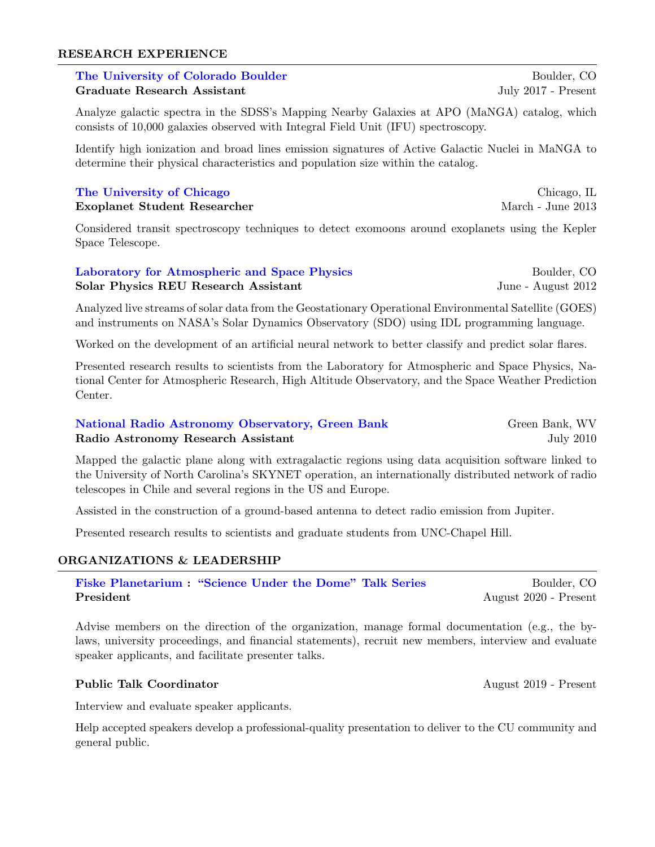### RESEARCH EXPERIENCE

# [The University of Colorado Boulder](https://www.colorado.edu/about) and the University of Colorado Boulder and Boulder, CO Graduate Research Assistant July 2017 - Present

Analyze galactic spectra in the SDSS's Mapping Nearby Galaxies at APO (MaNGA) catalog, which consists of 10,000 galaxies observed with Integral Field Unit (IFU) spectroscopy.

Identify high ionization and broad lines emission signatures of Active Galactic Nuclei in MaNGA to determine their physical characteristics and population size within the catalog.

# [The University of Chicago](https://www.uchicago.edu/about/) Chicago Chicago, IL

Exoplanet Student Researcher March - June 2013

Considered transit spectroscopy techniques to detect exomoons around exoplanets using the Kepler Space Telescope.

# [Laboratory for Atmospheric and Space Physics](http://lasp.colorado.edu/home/about/) Boulder, CO Solar Physics REU Research Assistant June - August 2012

Analyzed live streams of solar data from the Geostationary Operational Environmental Satellite (GOES) and instruments on NASA's Solar Dynamics Observatory (SDO) using IDL programming language.

Worked on the development of an artificial neural network to better classify and predict solar flares.

Presented research results to scientists from the Laboratory for Atmospheric and Space Physics, National Center for Atmospheric Research, High Altitude Observatory, and the Space Weather Prediction Center.

# [National Radio Astronomy Observatory, Green Bank](https://greenbankobservatory.org/about/) Green Green Bank, WV Radio Astronomy Research Assistant July 2010

Mapped the galactic plane along with extragalactic regions using data acquisition software linked to the University of North Carolina's SKYNET operation, an internationally distributed network of radio telescopes in Chile and several regions in the US and Europe.

Assisted in the construction of a ground-based antenna to detect radio emission from Jupiter.

Presented research results to scientists and graduate students from UNC-Chapel Hill.

# ORGANIZATIONS & LEADERSHIP

[Fiske Planetarium](https://www.colorado.edu/fiske/about-fiske) : ["Science Under the Dome" Talk Series](https://www.colorado.edu/fiske/showtimes/live-talks/science-under-dome) Boulder, CO President August 2020 - Present

Advise members on the direction of the organization, manage formal documentation (e.g., the bylaws, university proceedings, and financial statements), recruit new members, interview and evaluate speaker applicants, and facilitate presenter talks.

# Public Talk Coordinator August 2019 - Present

Interview and evaluate speaker applicants.

Help accepted speakers develop a professional-quality presentation to deliver to the CU community and general public.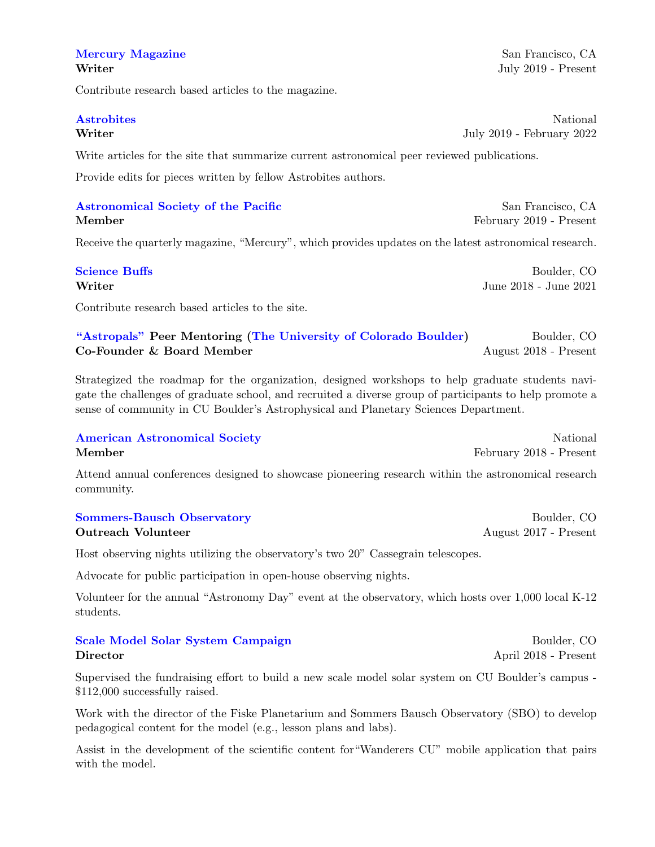# [Mercury Magazine](https://astrosociety.org/news-publications/mercury-magazine/overview.html) San Francisco, CA

Contribute research based articles to the magazine.

Write articles for the site that summarize current astronomical peer reviewed publications.

Provide edits for pieces written by fellow Astrobites authors.

# [Astronomical Society of the Pacific](https://astrosociety.org/) San Francisco, CA Member February 2019 - Present

Receive the quarterly magazine, "Mercury", which provides updates on the latest astronomical research.

| <b>Science Buffs</b> | Boulder, CO           |
|----------------------|-----------------------|
| Writer               | June 2018 - June 2021 |

Contribute research based articles to the site.

# ["Astropals"](https://orgsync.com/174321/chapter) Peer Mentoring [\(The University of Colorado Boulder\)](https://www.colorado.edu/about) Boulder, CO Co-Founder & Board Member August 2018 - Present

Strategized the roadmap for the organization, designed workshops to help graduate students navigate the challenges of graduate school, and recruited a diverse group of participants to help promote a sense of community in CU Boulder's Astrophysical and Planetary Sciences Department.

# **[American Astronomical Society](https://aas.org/about-aas)** National **National** Member February 2018 - Present

Attend annual conferences designed to showcase pioneering research within the astronomical research community.

[Sommers-Bausch Observatory](https://www.colorado.edu/sbo/about-sommers-bausch-observatory) **Boulder**, CO **Outreach Volunteer** August 2017 - Present

Host observing nights utilizing the observatory's two 20" Cassegrain telescopes.

Advocate for public participation in open-house observing nights.

Volunteer for the annual "Astronomy Day" event at the observatory, which hosts over 1,000 local K-12 students.

# [Scale Model Solar System Campaign](https://www.dailycamera.com/2019/06/21/cu-boulder-grad-student-aims-to-update-campus-scale-model-solar-system/?fbclid=IwAR0c-b504GBk8wU6c4JhxZyDxifuGK9ocXa4LwhDayr7OiwZuyNBmqo9Myo) Boulder, CO Director April 2018 - Present

Supervised the fundraising effort to build a new scale model solar system on CU Boulder's campus - \$112,000 successfully raised.

Work with the director of the Fiske Planetarium and Sommers Bausch Observatory (SBO) to develop pedagogical content for the model (e.g., lesson plans and labs).

Assist in the development of the scientific content for"Wanderers CU" mobile application that pairs with the model.

Writer July 2019 - Present

**[Astrobites](https://astrobites.org/about/)** National Writer July 2019 - February 2022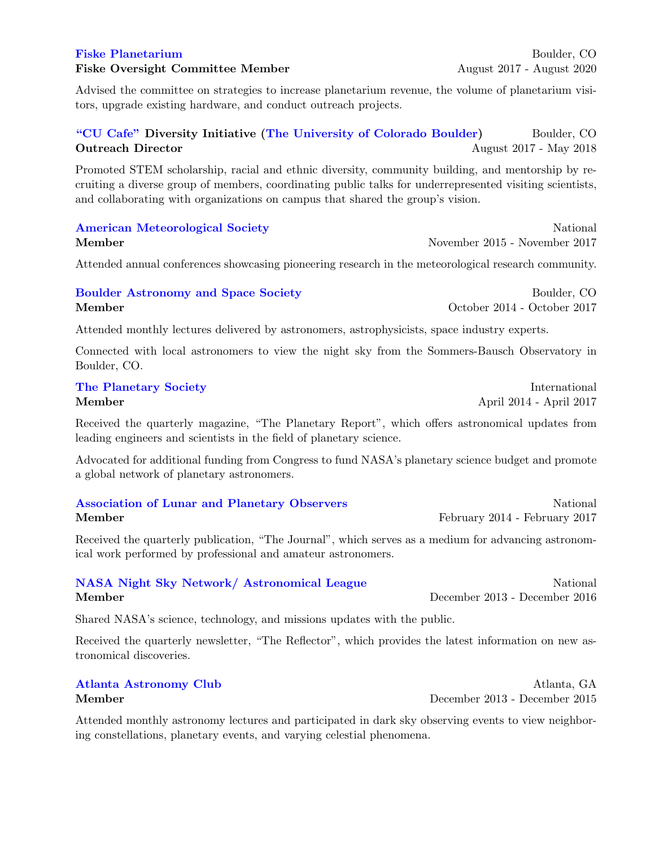Fiske Oversight Committee Member August 2017 - August 2020

Advised the committee on strategies to increase planetarium revenue, the volume of planetarium visitors, upgrade existing hardware, and conduct outreach projects.

# ["CU Cafe"](https://cucafeseminar.wordpress.com/) Diversity Initiative [\(The University of Colorado Boulder\)](https://www.colorado.edu/about) Boulder, CO **Outreach Director** August 2017 - May 2018

Promoted STEM scholarship, racial and ethnic diversity, community building, and mentorship by recruiting a diverse group of members, coordinating public talks for underrepresented visiting scientists, and collaborating with organizations on campus that shared the group's vision.

# [American Meteorological Society](https://www.ametsoc.org/ams/index.cfm/about-ams/) National National National National National National National National National National National National National National National National National National National National National N Member November 2015 - November 2017

Attended annual conferences showcasing pioneering research in the meteorological research community.

# [Boulder Astronomy and Space Society](https://boulderastro.org/about-bass/) **Boulder**, CO Member October 2014 - October 2017

Attended monthly lectures delivered by astronomers, astrophysicists, space industry experts.

Connected with local astronomers to view the night sky from the Sommers-Bausch Observatory in Boulder, CO.

# [The Planetary Society](https://www.planetary.org/about/) International Member April 2014 - April 2017

Received the quarterly magazine, "The Planetary Report", which offers astronomical updates from leading engineers and scientists in the field of planetary science.

Advocated for additional funding from Congress to fund NASA's planetary science budget and promote a global network of planetary astronomers.

# [Association of Lunar and Planetary Observers](http://alpo-astronomy.org/) and National National Resolution of Lunar and Planetary Observers Member February 2014 - February 2017

Received the quarterly publication, "The Journal", which serves as a medium for advancing astronomical work performed by professional and amateur astronomers.

Member December 2013 - December 2016

# [NASA Night Sky Network/ Astronomical League](https://nightsky.jpl.nasa.gov/about.cfm) National National

Shared NASA's science, technology, and missions updates with the public.

Received the quarterly newsletter, "The Reflector", which provides the latest information on new astronomical discoveries.

Attended monthly astronomy lectures and participated in dark sky observing events to view neighboring constellations, planetary events, and varying celestial phenomena.

# [Atlanta Astronomy Club](https://atlantaastronomy.org/about/) Atlanta, GA Member December 2013 - December 2015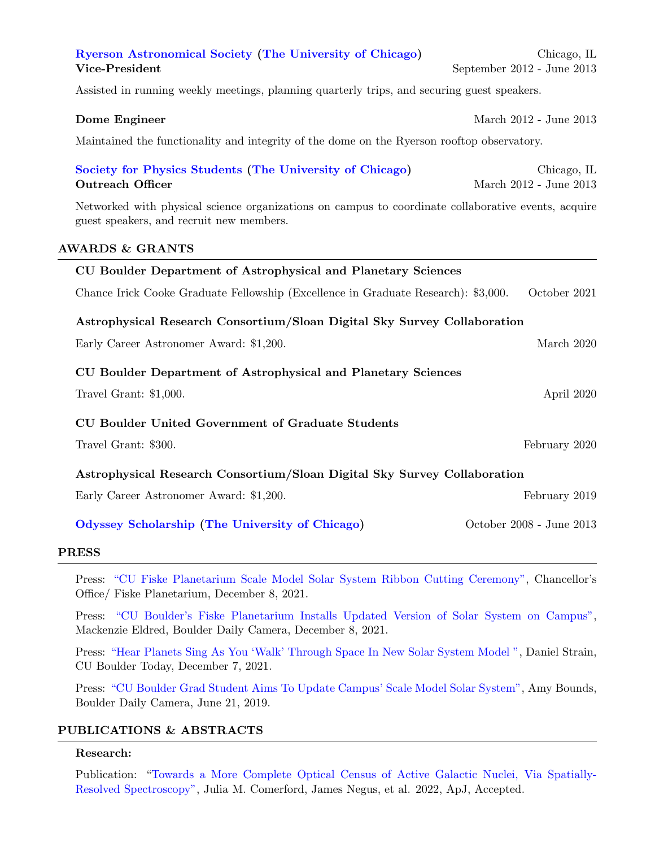# [Ryerson Astronomical Society](https://astro.uchicago.edu/RAS/) [\(The University of Chicago\)](https://www.uchicago.edu/about/) Chicago, IL Vice-President September 2012 - June 2013

Assisted in running weekly meetings, planning quarterly trips, and securing guest speakers.

**Dome Engineer** March 2012 - June 2013

Maintained the functionality and integrity of the dome on the Ryerson rooftop observatory.

## [Society for Physics Students](https://sps.uchicago.edu/index.html) [\(The University of Chicago\)](https://www.uchicago.edu/about/) Chicago, IL **Outreach Officer** March 2012 - June 2013

Networked with physical science organizations on campus to coordinate collaborative events, acquire guest speakers, and recruit new members.

### AWARDS & GRANTS

| CU Boulder Department of Astrophysical and Planetary Sciences                      |                          |  |
|------------------------------------------------------------------------------------|--------------------------|--|
| Chance Irick Cooke Graduate Fellowship (Excellence in Graduate Research): \$3,000. | October 2021             |  |
| Astrophysical Research Consortium/Sloan Digital Sky Survey Collaboration           |                          |  |
| Early Career Astronomer Award: \$1,200.                                            | March 2020               |  |
| CU Boulder Department of Astrophysical and Planetary Sciences                      |                          |  |
| Travel Grant: $$1,000$ .                                                           | April 2020               |  |
| <b>CU Boulder United Government of Graduate Students</b>                           |                          |  |
| Travel Grant: \$300.                                                               | February 2020            |  |
| Astrophysical Research Consortium/Sloan Digital Sky Survey Collaboration           |                          |  |
| Early Career Astronomer Award: \$1,200.                                            | February 2019            |  |
| Odyssey Scholarship (The University of Chicago)                                    | October 2008 - June 2013 |  |

### PRESS

Press: ["CU Fiske Planetarium Scale Model Solar System Ribbon Cutting Ceremony",](https://www.youtube.com/watch?v=8pHpncH8gJ8&t=105s) Chancellor's Office/ Fiske Planetarium, December 8, 2021.

Press: ["CU Boulder's Fiske Planetarium Installs Updated Version of Solar System on Campus",](https://drive.google.com/file/d/1UjXKDypRz9Lh4BQgop9kE0r4nZepj15c/view?usp=sharing) Mackenzie Eldred, Boulder Daily Camera, December 8, 2021.

Press: ["Hear Planets Sing As You 'Walk' Through Space In New Solar System Model ",](https://www.colorado.edu/today/2021/12/07/hear-planets-sing-you-walk-through-space-new-solar-system-model) Daniel Strain, CU Boulder Today, December 7, 2021.

Press: ["CU Boulder Grad Student Aims To Update Campus' Scale Model Solar System",](https://drive.google.com/file/d/1UjdKrlHSZyyEfVit5uwmKK1hrmTRh2GM/view?usp=sharing) Amy Bounds, Boulder Daily Camera, June 21, 2019.

# PUBLICATIONS & ABSTRACTS

# Research:

Publication: ["Towards a More Complete Optical Census of Active Galactic Nuclei, Via Spatially-](https://arxiv.org/abs/2201.07250)[Resolved Spectroscopy",](https://arxiv.org/abs/2201.07250) Julia M. Comerford, James Negus, et al. 2022, ApJ, Accepted.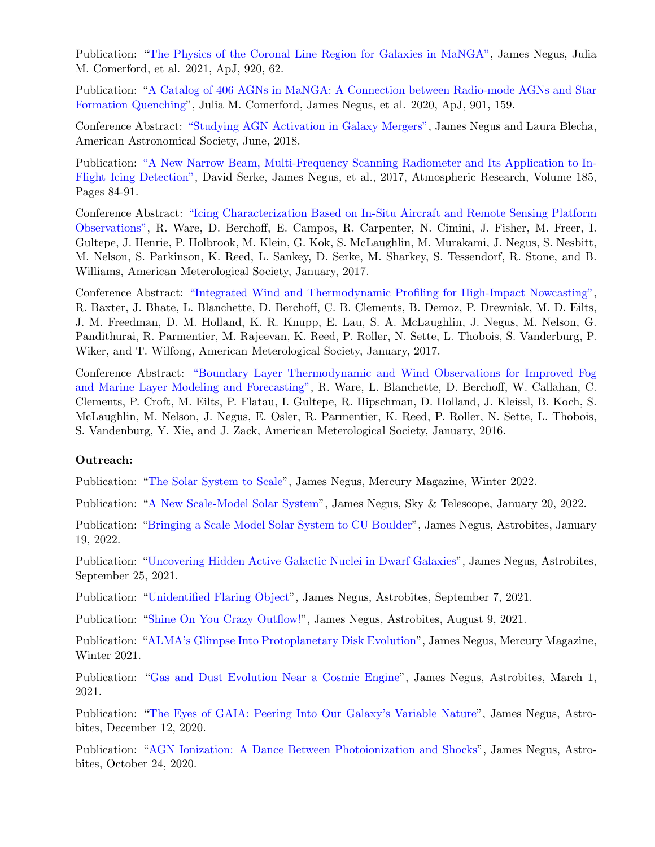Publication: ["The Physics of the Coronal Line Region for Galaxies in MaNGA",](https://iopscience.iop.org/article/10.3847/1538-4357/ac1343) James Negus, Julia M. Comerford, et al. 2021, ApJ, 920, 62.

Publication: ["A Catalog of 406 AGNs in MaNGA: A Connection between Radio-mode AGNs and Star](https://iopscience.iop.org/article/10.3847/1538-4357/abb2ae) [Formation Quenching"](https://iopscience.iop.org/article/10.3847/1538-4357/abb2ae), Julia M. Comerford, James Negus, et al. 2020, ApJ, 901, 159.

Conference Abstract: ["Studying AGN Activation in Galaxy Mergers",](https://ui.adsabs.harvard.edu/abs/2018AAS...23231803N/abstract) James Negus and Laura Blecha, American Astronomical Society, June, 2018.

Publication: ["A New Narrow Beam, Multi-Frequency Scanning Radiometer and Its Application to In-](https://www.sciencedirect.com/science/article/pii/S0169809516305105)[Flight Icing Detection",](https://www.sciencedirect.com/science/article/pii/S0169809516305105) David Serke, James Negus, et al., 2017, Atmospheric Research, Volume 185, Pages 84-91.

Conference Abstract: ["Icing Characterization Based on In-Situ Aircraft and Remote Sensing Platform](https://ams.confex.com/ams/97Annual/webprogram/Paper314898.html) [Observations",](https://ams.confex.com/ams/97Annual/webprogram/Paper314898.html) R. Ware, D. Berchoff, E. Campos, R. Carpenter, N. Cimini, J. Fisher, M. Freer, I. Gultepe, J. Henrie, P. Holbrook, M. Klein, G. Kok, S. McLaughlin, M. Murakami, J. Negus, S. Nesbitt, M. Nelson, S. Parkinson, K. Reed, L. Sankey, D. Serke, M. Sharkey, S. Tessendorf, R. Stone, and B. Williams, American Meterological Society, January, 2017.

Conference Abstract: ["Integrated Wind and Thermodynamic Profiling for High-Impact Nowcasting",](https://ams.confex.com/ams/97Annual/webprogram/Paper315322.html) R. Baxter, J. Bhate, L. Blanchette, D. Berchoff, C. B. Clements, B. Demoz, P. Drewniak, M. D. Eilts, J. M. Freedman, D. M. Holland, K. R. Knupp, E. Lau, S. A. McLaughlin, J. Negus, M. Nelson, G. Pandithurai, R. Parmentier, M. Rajeevan, K. Reed, P. Roller, N. Sette, L. Thobois, S. Vanderburg, P. Wiker, and T. Wilfong, American Meterological Society, January, 2017.

Conference Abstract: ["Boundary Layer Thermodynamic and Wind Observations for Improved Fog](https://ams.confex.com/ams/96Annual/webprogram/Paper280228.html) [and Marine Layer Modeling and Forecasting",](https://ams.confex.com/ams/96Annual/webprogram/Paper280228.html) R. Ware, L. Blanchette, D. Berchoff, W. Callahan, C. Clements, P. Croft, M. Eilts, P. Flatau, I. Gultepe, R. Hipschman, D. Holland, J. Kleissl, B. Koch, S. McLaughlin, M. Nelson, J. Negus, E. Osler, R. Parmentier, K. Reed, P. Roller, N. Sette, L. Thobois, S. Vandenburg, Y. Xie, and J. Zack, American Meterological Society, January, 2016.

### Outreach:

Publication: ["The Solar System to Scale"](https://drive.google.com/file/d/1-0_phOTiPaMJ3ErGBYipkeTXazqroAeY/view?usp=sharing), James Negus, Mercury Magazine, Winter 2022.

Publication: ["A New Scale-Model Solar System"](https://skyandtelescope.org/observing/stargazers-corner/a-new-scale-model-solar-system/), James Negus, Sky & Telescope, January 20, 2022.

Publication: ["Bringing a Scale Model Solar System to CU Boulder"](https://astrobites.org/2022/01/19/scale-solar-system/), James Negus, Astrobites, January 19, 2022.

Publication: ["Uncovering Hidden Active Galactic Nuclei in Dwarf Galaxies"](https://astrobites.org/2021/09/25/dwarf-agn-2/), James Negus, Astrobites, September 25, 2021.

Publication: ["Unidentified Flaring Object"](https://astrobites.org/2021/09/07/unidentified-flaring-object/), James Negus, Astrobites, September 7, 2021.

Publication: ["Shine On You Crazy Outflow!"](https://astrobites.org/2021/08/09/outflows/), James Negus, Astrobites, August 9, 2021.

Publication: ["ALMA's Glimpse Into Protoplanetary Disk Evolution"](http://asppublications.org//37RYL62T/2021pdfs/Win21.pdf), James Negus, Mercury Magazine, Winter 2021.

Publication: ["Gas and Dust Evolution Near a Cosmic Engine"](https://astrobites.org/2021/03/01/cosmic-engine/), James Negus, Astrobites, March 1, 2021.

Publication: ["The Eyes of GAIA: Peering Into Our Galaxy's Variable Nature"](https://astrobites.org/2020/12/12/the-eyes-of-gaia-peering-into-our-galaxys-variable-nature/), James Negus, Astrobites, December 12, 2020.

Publication: ["AGN Ionization: A Dance Between Photoionization and Shocks"](https://astrobites.org/2020/10/24/cosmic-dance/), James Negus, Astrobites, October 24, 2020.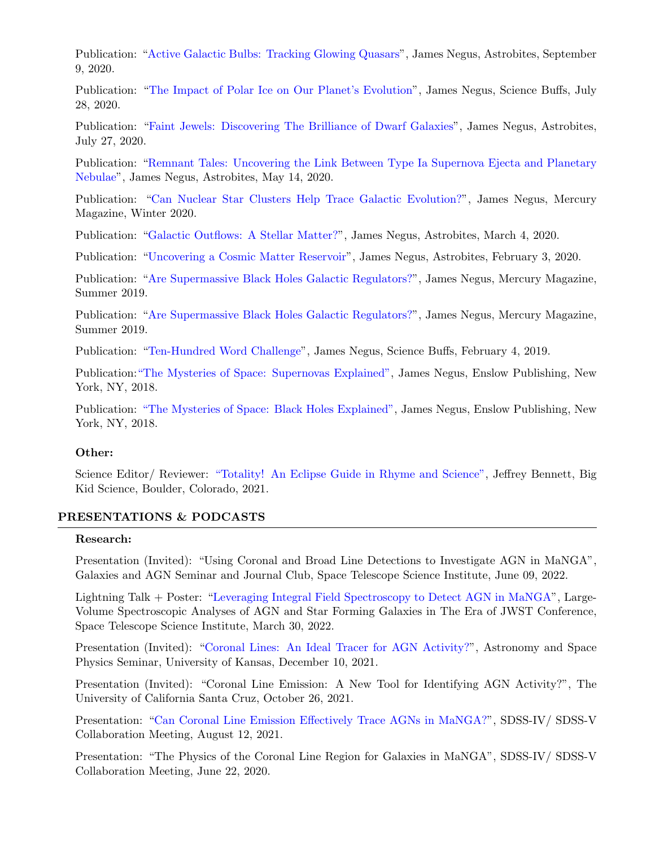Publication: ["Active Galactic Bulbs: Tracking Glowing Quasars"](https://astrobites.org/2020/09/09/xray-variability/), James Negus, Astrobites, September 9, 2020.

Publication: ["The Impact of Polar Ice on Our Planet's Evolution"](https://sciencebuffs.org/2020/07/28/polar-ice/), James Negus, Science Buffs, July 28, 2020.

Publication: ["Faint Jewels: Discovering The Brilliance of Dwarf Galaxies"](https://astrobites.org/2020/07/27/dwarf-agn/), James Negus, Astrobites, July 27, 2020.

Publication: ["Remnant Tales: Uncovering the Link Between Type Ia Supernova Ejecta and Planetary](https://astrobites.org/2020/05/14/remnant-tales/) [Nebulae"](https://astrobites.org/2020/05/14/remnant-tales/), James Negus, Astrobites, May 14, 2020.

Publication: ["Can Nuclear Star Clusters Help Trace Galactic Evolution?"](http://asppublications.org//37RYL62T/2020pdfs/Win20.pdf), James Negus, Mercury Magazine, Winter 2020.

Publication: ["Galactic Outflows: A Stellar Matter?"](https://astrobites.org/2020/03/04/galactic-outflows/), James Negus, Astrobites, March 4, 2020.

Publication: ["Uncovering a Cosmic Matter Reservoir"](https://astrobites.org/2020/02/03/cosmic-matter/), James Negus, Astrobites, February 3, 2020.

Publication: ["Are Supermassive Black Holes Galactic Regulators?"](https://astrosociety.org/news-publications/mercury-online/mercury-online.html/article/2019/08/27/are-supermassive-black-holes-galactic-regulators-), James Negus, Mercury Magazine, Summer 2019.

Publication: ["Are Supermassive Black Holes Galactic Regulators?"](https://astrosociety.org/news-publications/mercury-online/mercury-online.html/article/2019/08/27/are-supermassive-black-holes-galactic-regulators-), James Negus, Mercury Magazine, Summer 2019.

Publication: ["Ten-Hundred Word Challenge"](https://sciencebuffs.org/2019/02/04/ten-hundred-word-challenge-part-8/), James Negus, Science Buffs, February 4, 2019.

Publication[:"The Mysteries of Space: Supernovas Explained",](https://www.amazon.com/gp/product/1978505590/ref=dbs_a_def_rwt_hsch_vapi_taft_p1_i0) James Negus, Enslow Publishing, New York, NY, 2018.

Publication: ["The Mysteries of Space: Black Holes Explained",](https://www.amazon.com/gp/product/0766099636/ref=dbs_a_def_rwt_hsch_vapi_taft_p1_i1) James Negus, Enslow Publishing, New York, NY, 2018.

# Other:

Science Editor/ Reviewer: ["Totality! An Eclipse Guide in Rhyme and Science",](https://www.amazon.com/Totality-Eclipse-Guide-Rhyme-Science/dp/1937548864/ref=sr_1_8?qid=1649616782&refinements=p_27%3AJeffrey+Bennett&s=books&sr=1-8) Jeffrey Bennett, Big Kid Science, Boulder, Colorado, 2021.

### PRESENTATIONS & PODCASTS

### Research:

Presentation (Invited): "Using Coronal and Broad Line Detections to Investigate AGN in MaNGA", Galaxies and AGN Seminar and Journal Club, Space Telescope Science Institute, June 09, 2022.

Lightning Talk + Poster: ["Leveraging Integral Field Spectroscopy to Detect AGN in MaNGA"](https://drive.google.com/file/d/10jBWR0NkzcCrbJjClttiG5a8vX3QSXT3/view?usp=sharing), Large-Volume Spectroscopic Analyses of AGN and Star Forming Galaxies in The Era of JWST Conference, Space Telescope Science Institute, March 30, 2022.

Presentation (Invited): ["Coronal Lines: An Ideal Tracer for AGN Activity?"](https://drive.google.com/file/d/1U6dDDmY-RqylPpcrvWA6bmUccicM79V4/view?usp=sharing), Astronomy and Space Physics Seminar, University of Kansas, December 10, 2021.

Presentation (Invited): "Coronal Line Emission: A New Tool for Identifying AGN Activity?", The University of California Santa Cruz, October 26, 2021.

Presentation: ["Can Coronal Line Emission Effectively Trace AGNs in MaNGA?"](https://drive.google.com/file/d/1Jt0VSjQH9F9XAoSU7sN_4s6xIw-cvJNV/view?usp=sharing), SDSS-IV/ SDSS-V Collaboration Meeting, August 12, 2021.

Presentation: "The Physics of the Coronal Line Region for Galaxies in MaNGA", SDSS-IV/ SDSS-V Collaboration Meeting, June 22, 2020.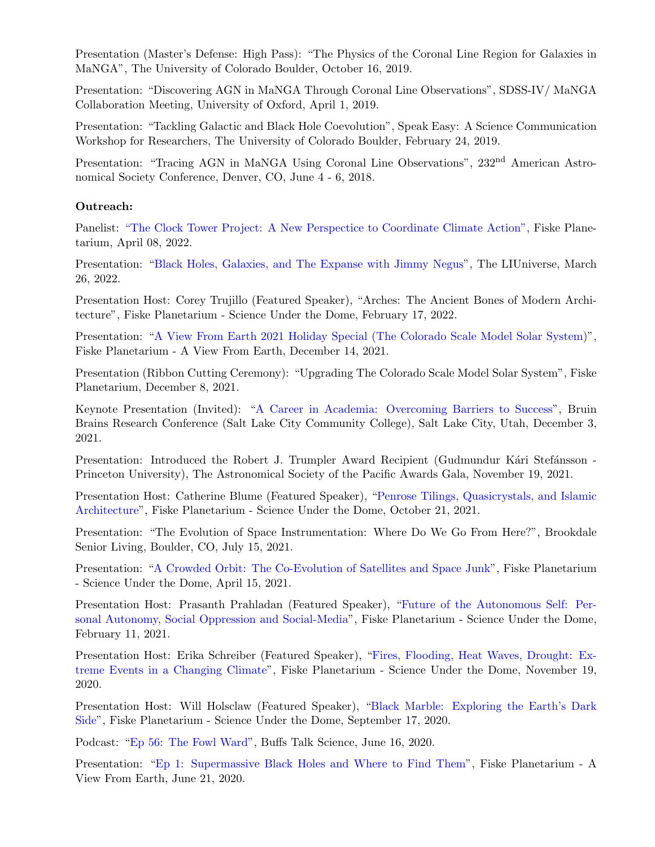Presentation (Master's Defense: High Pass): "The Physics of the Coronal Line Region for Galaxies in MaNGA", The University of Colorado Boulder, October 16, 2019.

Presentation: "Discovering AGN in MaNGA Through Coronal Line Observations", SDSS-IV/ MaNGA Collaboration Meeting, University of Oxford, April 1, 2019.

Presentation: "Tackling Galactic and Black Hole Coevolution", Speak Easy: A Science Communication Workshop for Researchers, The University of Colorado Boulder, February 24, 2019.

Presentation: "Tracing AGN in MaNGA Using Coronal Line Observations", 232<sup>nd</sup> American Astronomical Society Conference, Denver, CO, June 4 - 6, 2018.

# Outreach:

Panelist: ["The Clock Tower Project: A New Perspectice to Coordinate Climate Action",](https://theclocktowerproject.org/) Fiske Planetarium, April 08, 2022.

Presentation: ["Black Holes, Galaxies, and The Expanse with Jimmy Negus"](https://www.youtube.com/watch?v=IbWzhxaRwGI&t=1s), The LIUniverse, March 26, 2022.

Presentation Host: Corey Trujillo (Featured Speaker), "Arches: The Ancient Bones of Modern Architecture", Fiske Planetarium - Science Under the Dome, February 17, 2022.

Presentation: ["A View From Earth 2021 Holiday Special \(The Colorado Scale Model Solar System\)"](https://drive.google.com/file/d/1UToVPCtYQlpu1xpPdKO8695YKCd32oJT/view?usp=sharing), Fiske Planetarium - A View From Earth, December 14, 2021.

Presentation (Ribbon Cutting Ceremony): "Upgrading The Colorado Scale Model Solar System", Fiske Planetarium, December 8, 2021.

Keynote Presentation (Invited): ["A Career in Academia: Overcoming Barriers to Success"](https://drive.google.com/file/d/1R1tmvnUE8HEp4spFOfaENltungFFk-kT/view?usp=sharing), Bruin Brains Research Conference (Salt Lake City Community College), Salt Lake City, Utah, December 3, 2021.

Presentation: Introduced the Robert J. Trumpler Award Recipient (Gudmundur Kári Stefánsson -Princeton University), The Astronomical Society of the Pacific Awards Gala, November 19, 2021.

Presentation Host: Catherine Blume (Featured Speaker), ["Penrose Tilings, Quasicrystals, and Islamic](https://www.youtube.com/watch?v=5y3ESeAv7kQ&ab_channel=FiskePlanetarium) [Architecture"](https://www.youtube.com/watch?v=5y3ESeAv7kQ&ab_channel=FiskePlanetarium), Fiske Planetarium - Science Under the Dome, October 21, 2021.

Presentation: "The Evolution of Space Instrumentation: Where Do We Go From Here?", Brookdale Senior Living, Boulder, CO, July 15, 2021.

Presentation: ["A Crowded Orbit: The Co-Evolution of Satellites and Space Junk"](https://www.youtube.com/watch?v=PncoBzVCFzE&t=2271s), Fiske Planetarium - Science Under the Dome, April 15, 2021.

Presentation Host: Prasanth Prahladan (Featured Speaker), ["Future of the Autonomous Self: Per](https://www.youtube.com/watch?v=l33e4jQuHmc)[sonal Autonomy, Social Oppression and Social-Media"](https://www.youtube.com/watch?v=l33e4jQuHmc), Fiske Planetarium - Science Under the Dome, February 11, 2021.

Presentation Host: Erika Schreiber (Featured Speaker), ["Fires, Flooding, Heat Waves, Drought: Ex](https://www.youtube.com/watch?v=UqOZdP-5Deg)[treme Events in a Changing Climate"](https://www.youtube.com/watch?v=UqOZdP-5Deg), Fiske Planetarium - Science Under the Dome, November 19, 2020.

Presentation Host: Will Holsclaw (Featured Speaker), ["Black Marble: Exploring the Earth's Dark](https://www.youtube.com/watch?v=Gq9XCij34p4&t=3114s) [Side"](https://www.youtube.com/watch?v=Gq9XCij34p4&t=3114s), Fiske Planetarium - Science Under the Dome, September 17, 2020.

Podcast: ["Ep 56: The Fowl Ward"](https://buffstalkscience.com/2020/07/17/episode-56-the-fowl-ward/), Buffs Talk Science, June 16, 2020.

Presentation: ["Ep 1: Supermassive Black Holes and Where to Find Them"](https://www.youtube.com/watch?v=0kKEZcWUXk0), Fiske Planetarium - A View From Earth, June 21, 2020.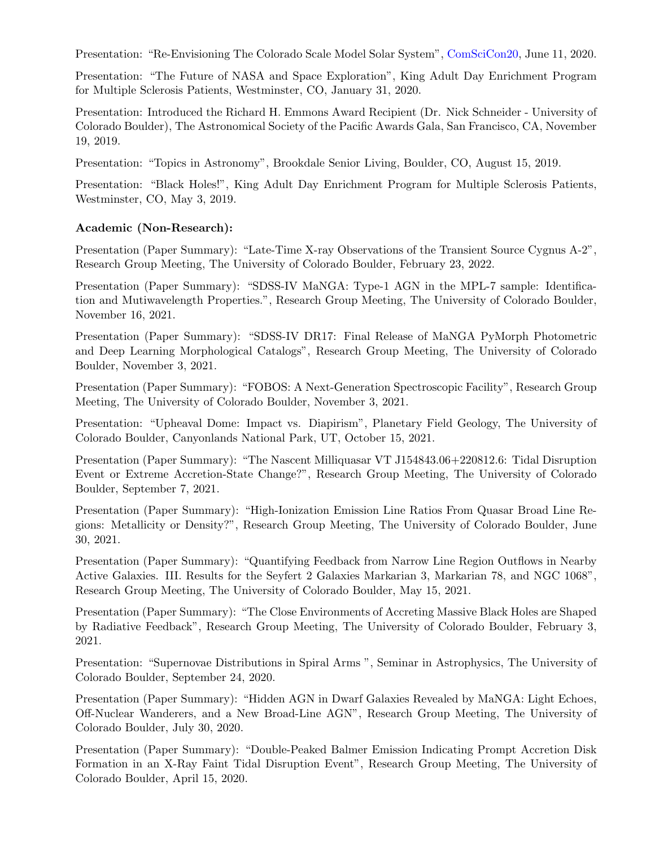Presentation: "Re-Envisioning The Colorado Scale Model Solar System", [ComSciCon20,](https://comscicon.com/) June 11, 2020.

Presentation: "The Future of NASA and Space Exploration", King Adult Day Enrichment Program for Multiple Sclerosis Patients, Westminster, CO, January 31, 2020.

Presentation: Introduced the Richard H. Emmons Award Recipient (Dr. Nick Schneider - University of Colorado Boulder), The Astronomical Society of the Pacific Awards Gala, San Francisco, CA, November 19, 2019.

Presentation: "Topics in Astronomy", Brookdale Senior Living, Boulder, CO, August 15, 2019.

Presentation: "Black Holes!", King Adult Day Enrichment Program for Multiple Sclerosis Patients, Westminster, CO, May 3, 2019.

# Academic (Non-Research):

Presentation (Paper Summary): "Late-Time X-ray Observations of the Transient Source Cygnus A-2", Research Group Meeting, The University of Colorado Boulder, February 23, 2022.

Presentation (Paper Summary): "SDSS-IV MaNGA: Type-1 AGN in the MPL-7 sample: Identification and Mutiwavelength Properties.", Research Group Meeting, The University of Colorado Boulder, November 16, 2021.

Presentation (Paper Summary): "SDSS-IV DR17: Final Release of MaNGA PyMorph Photometric and Deep Learning Morphological Catalogs", Research Group Meeting, The University of Colorado Boulder, November 3, 2021.

Presentation (Paper Summary): "FOBOS: A Next-Generation Spectroscopic Facility", Research Group Meeting, The University of Colorado Boulder, November 3, 2021.

Presentation: "Upheaval Dome: Impact vs. Diapirism", Planetary Field Geology, The University of Colorado Boulder, Canyonlands National Park, UT, October 15, 2021.

Presentation (Paper Summary): "The Nascent Milliquasar VT J154843.06+220812.6: Tidal Disruption Event or Extreme Accretion-State Change?", Research Group Meeting, The University of Colorado Boulder, September 7, 2021.

Presentation (Paper Summary): "High-Ionization Emission Line Ratios From Quasar Broad Line Regions: Metallicity or Density?", Research Group Meeting, The University of Colorado Boulder, June 30, 2021.

Presentation (Paper Summary): "Quantifying Feedback from Narrow Line Region Outflows in Nearby Active Galaxies. III. Results for the Seyfert 2 Galaxies Markarian 3, Markarian 78, and NGC 1068", Research Group Meeting, The University of Colorado Boulder, May 15, 2021.

Presentation (Paper Summary): "The Close Environments of Accreting Massive Black Holes are Shaped by Radiative Feedback", Research Group Meeting, The University of Colorado Boulder, February 3, 2021.

Presentation: "Supernovae Distributions in Spiral Arms ", Seminar in Astrophysics, The University of Colorado Boulder, September 24, 2020.

Presentation (Paper Summary): "Hidden AGN in Dwarf Galaxies Revealed by MaNGA: Light Echoes, Off-Nuclear Wanderers, and a New Broad-Line AGN", Research Group Meeting, The University of Colorado Boulder, July 30, 2020.

Presentation (Paper Summary): "Double-Peaked Balmer Emission Indicating Prompt Accretion Disk Formation in an X-Ray Faint Tidal Disruption Event", Research Group Meeting, The University of Colorado Boulder, April 15, 2020.